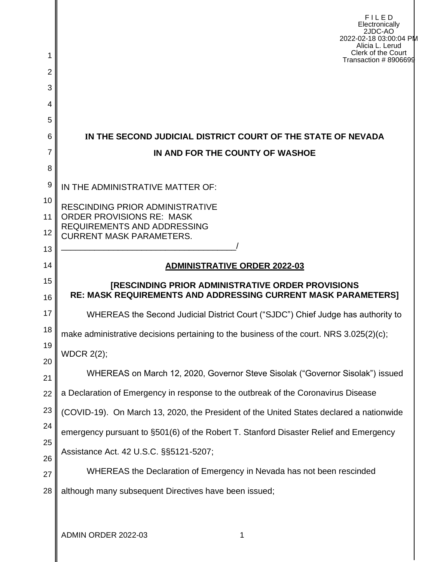| 1        | <b>FILED</b><br>Electronically<br>2JDC-AO<br>2022-02-18 03:00:04 PM<br>Alicia L. Lerud<br>Clerk of the Court                     |  |
|----------|----------------------------------------------------------------------------------------------------------------------------------|--|
| 2        | Transaction #8906699                                                                                                             |  |
| 3        |                                                                                                                                  |  |
| 4        |                                                                                                                                  |  |
| 5        |                                                                                                                                  |  |
| 6        | IN THE SECOND JUDICIAL DISTRICT COURT OF THE STATE OF NEVADA                                                                     |  |
| 7        | IN AND FOR THE COUNTY OF WASHOE                                                                                                  |  |
| 8        |                                                                                                                                  |  |
| 9        | IN THE ADMINISTRATIVE MATTER OF:                                                                                                 |  |
| 10<br>11 | <b>RESCINDING PRIOR ADMINISTRATIVE</b><br><b>ORDER PROVISIONS RE: MASK</b>                                                       |  |
| 12       | <b>REQUIREMENTS AND ADDRESSING</b>                                                                                               |  |
| 13       | <b>CURRENT MASK PARAMETERS.</b>                                                                                                  |  |
| 14       | <b>ADMINISTRATIVE ORDER 2022-03</b>                                                                                              |  |
| 15<br>16 | <b>IRESCINDING PRIOR ADMINISTRATIVE ORDER PROVISIONS</b><br><b>RE: MASK REQUIREMENTS AND ADDRESSING CURRENT MASK PARAMETERS]</b> |  |
| 17       | WHEREAS the Second Judicial District Court ("SJDC") Chief Judge has authority to                                                 |  |
| 18       | make administrative decisions pertaining to the business of the court. NRS 3.025(2)(c);                                          |  |
| 19       | <b>WDCR 2(2);</b>                                                                                                                |  |
| 20       | WHEREAS on March 12, 2020, Governor Steve Sisolak ("Governor Sisolak") issued                                                    |  |
| 21<br>22 | a Declaration of Emergency in response to the outbreak of the Coronavirus Disease                                                |  |
| 23       | (COVID-19). On March 13, 2020, the President of the United States declared a nationwide                                          |  |
| 24       |                                                                                                                                  |  |
| 25       | emergency pursuant to §501(6) of the Robert T. Stanford Disaster Relief and Emergency                                            |  |
| 26       | Assistance Act. 42 U.S.C. §§5121-5207;                                                                                           |  |
| 27       | WHEREAS the Declaration of Emergency in Nevada has not been rescinded                                                            |  |
| 28       | although many subsequent Directives have been issued;                                                                            |  |
|          |                                                                                                                                  |  |

ADMIN ORDER 2022-03 1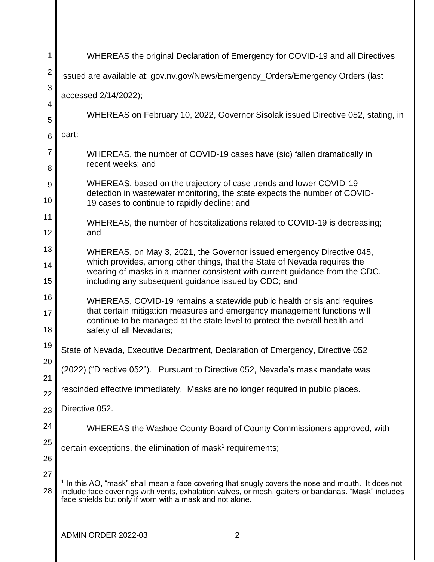| 1              | WHEREAS the original Declaration of Emergency for COVID-19 and all Directives                                                                                                                                                                                                    |
|----------------|----------------------------------------------------------------------------------------------------------------------------------------------------------------------------------------------------------------------------------------------------------------------------------|
| $\overline{2}$ | issued are available at: gov.nv.gov/News/Emergency_Orders/Emergency Orders (last                                                                                                                                                                                                 |
| 3              | accessed 2/14/2022);                                                                                                                                                                                                                                                             |
| 4<br>5         | WHEREAS on February 10, 2022, Governor Sisolak issued Directive 052, stating, in                                                                                                                                                                                                 |
| 6              | part:                                                                                                                                                                                                                                                                            |
| 7<br>8         | WHEREAS, the number of COVID-19 cases have (sic) fallen dramatically in<br>recent weeks; and                                                                                                                                                                                     |
| 9              | WHEREAS, based on the trajectory of case trends and lower COVID-19<br>detection in wastewater monitoring, the state expects the number of COVID-                                                                                                                                 |
| 10             | 19 cases to continue to rapidly decline; and                                                                                                                                                                                                                                     |
| 11<br>12       | WHEREAS, the number of hospitalizations related to COVID-19 is decreasing;<br>and                                                                                                                                                                                                |
| 13<br>14       | WHEREAS, on May 3, 2021, the Governor issued emergency Directive 045,<br>which provides, among other things, that the State of Nevada requires the<br>wearing of masks in a manner consistent with current guidance from the CDC,                                                |
| 15             | including any subsequent guidance issued by CDC; and                                                                                                                                                                                                                             |
| 16<br>17<br>18 | WHEREAS, COVID-19 remains a statewide public health crisis and requires<br>that certain mitigation measures and emergency management functions will<br>continue to be managed at the state level to protect the overall health and<br>safety of all Nevadans;                    |
| 19             | State of Nevada, Executive Department, Declaration of Emergency, Directive 052                                                                                                                                                                                                   |
| 20<br>21       | (2022) ("Directive 052"). Pursuant to Directive 052, Nevada's mask mandate was                                                                                                                                                                                                   |
| 22             | rescinded effective immediately. Masks are no longer required in public places.                                                                                                                                                                                                  |
| 23             | Directive 052.                                                                                                                                                                                                                                                                   |
| 24             | WHEREAS the Washoe County Board of County Commissioners approved, with                                                                                                                                                                                                           |
| 25<br>26       | certain exceptions, the elimination of mask <sup>1</sup> requirements;                                                                                                                                                                                                           |
| 27             |                                                                                                                                                                                                                                                                                  |
| 28             | <sup>1</sup> In this AO, "mask" shall mean a face covering that snugly covers the nose and mouth. It does not<br>include face coverings with vents, exhalation valves, or mesh, gaiters or bandanas. "Mask" includes<br>face shields but only if worn with a mask and not alone. |
|                |                                                                                                                                                                                                                                                                                  |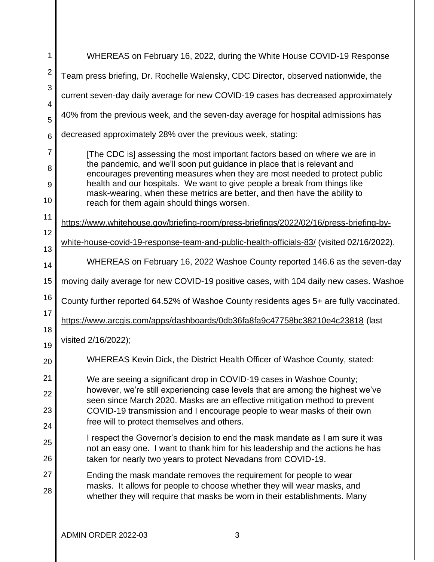| 1              | WHEREAS on February 16, 2022, during the White House COVID-19 Response                                                                                          |
|----------------|-----------------------------------------------------------------------------------------------------------------------------------------------------------------|
| $\overline{2}$ | Team press briefing, Dr. Rochelle Walensky, CDC Director, observed nationwide, the                                                                              |
| 3              | current seven-day daily average for new COVID-19 cases has decreased approximately                                                                              |
| 4<br>5         | 40% from the previous week, and the seven-day average for hospital admissions has                                                                               |
| 6              | decreased approximately 28% over the previous week, stating:                                                                                                    |
| $\overline{7}$ | [The CDC is] assessing the most important factors based on where we are in                                                                                      |
| 8              | the pandemic, and we'll soon put guidance in place that is relevant and<br>encourages preventing measures when they are most needed to protect public           |
| 9              | health and our hospitals. We want to give people a break from things like                                                                                       |
| 10             | mask-wearing, when these metrics are better, and then have the ability to<br>reach for them again should things worsen.                                         |
| 11             | https://www.whitehouse.gov/briefing-room/press-briefings/2022/02/16/press-briefing-by-                                                                          |
| 12             | white-house-covid-19-response-team-and-public-health-officials-83/ (visited 02/16/2022).                                                                        |
| 13             |                                                                                                                                                                 |
| 14             | WHEREAS on February 16, 2022 Washoe County reported 146.6 as the seven-day                                                                                      |
| 15             | moving daily average for new COVID-19 positive cases, with 104 daily new cases. Washoe                                                                          |
| 16             | County further reported 64.52% of Washoe County residents ages 5+ are fully vaccinated.                                                                         |
| 17             | https://www.arcgis.com/apps/dashboards/0db36fa8fa9c47758bc38210e4c23818 (last                                                                                   |
| 18<br>19       | visited 2/16/2022);                                                                                                                                             |
| 20             | WHEREAS Kevin Dick, the District Health Officer of Washoe County, stated:                                                                                       |
| 21             | We are seeing a significant drop in COVID-19 cases in Washoe County;                                                                                            |
| 22             | however, we're still experiencing case levels that are among the highest we've<br>seen since March 2020. Masks are an effective mitigation method to prevent    |
| 23             | COVID-19 transmission and I encourage people to wear masks of their own                                                                                         |
| 24             | free will to protect themselves and others.                                                                                                                     |
| 25             | I respect the Governor's decision to end the mask mandate as I am sure it was<br>not an easy one. I want to thank him for his leadership and the actions he has |
| 26             | taken for nearly two years to protect Nevadans from COVID-19.                                                                                                   |
| 27             | Ending the mask mandate removes the requirement for people to wear                                                                                              |
| 28             | masks. It allows for people to choose whether they will wear masks, and<br>whether they will require that masks be worn in their establishments. Many           |
|                | ADMIN ORDER 2022-03<br>3                                                                                                                                        |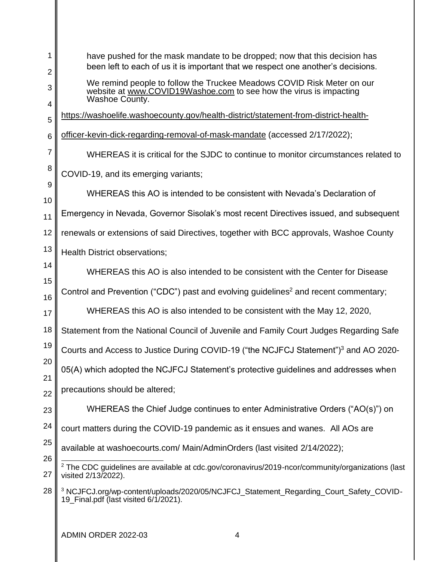| 1<br>$\overline{2}$ | have pushed for the mask mandate to be dropped; now that this decision has<br>been left to each of us it is important that we respect one another's decisions. |
|---------------------|----------------------------------------------------------------------------------------------------------------------------------------------------------------|
| 3                   | We remind people to follow the Truckee Meadows COVID Risk Meter on our<br>website at www.COVID19Washoe.com to see how the virus is impacting<br>Washoe County. |
| 4<br>5              | https://washoelife.washoecounty.gov/health-district/statement-from-district-health-                                                                            |
| 6                   | officer-kevin-dick-regarding-removal-of-mask-mandate (accessed 2/17/2022);                                                                                     |
| $\overline{7}$      | WHEREAS it is critical for the SJDC to continue to monitor circumstances related to                                                                            |
| 8                   | COVID-19, and its emerging variants;                                                                                                                           |
| 9<br>10             | WHEREAS this AO is intended to be consistent with Nevada's Declaration of                                                                                      |
| 11                  | Emergency in Nevada, Governor Sisolak's most recent Directives issued, and subsequent                                                                          |
| 12                  | renewals or extensions of said Directives, together with BCC approvals, Washoe County                                                                          |
| 13                  | <b>Health District observations;</b>                                                                                                                           |
| 14                  | WHEREAS this AO is also intended to be consistent with the Center for Disease                                                                                  |
| 15<br>16            | Control and Prevention ("CDC") past and evolving guidelines <sup>2</sup> and recent commentary;                                                                |
| 17                  | WHEREAS this AO is also intended to be consistent with the May 12, 2020,                                                                                       |
| 18                  | Statement from the National Council of Juvenile and Family Court Judges Regarding Safe                                                                         |
| 19                  | Courts and Access to Justice During COVID-19 ("the NCJFCJ Statement") <sup>3</sup> and AO 2020-                                                                |
| 20<br>21            | 05(A) which adopted the NCJFCJ Statement's protective guidelines and addresses when                                                                            |
| 22                  | precautions should be altered;                                                                                                                                 |
| 23                  | WHEREAS the Chief Judge continues to enter Administrative Orders ("AO(s)") on                                                                                  |
| 24                  | court matters during the COVID-19 pandemic as it ensues and wanes. All AOs are                                                                                 |
| 25<br>26            | available at washoecourts.com/ Main/AdminOrders (last visited 2/14/2022);                                                                                      |
| 27                  | $2$ The CDC guidelines are available at cdc.gov/coronavirus/2019-ncor/community/organizations (last<br>visited 2/13/2022).                                     |
| 28                  | <sup>3</sup> NCJFCJ.org/wp-content/uploads/2020/05/NCJFCJ_Statement_Regarding_Court_Safety_COVID-<br>19 Final.pdf (last visited 6/1/2021).                     |

| ADMIN ORDER 2022-03 4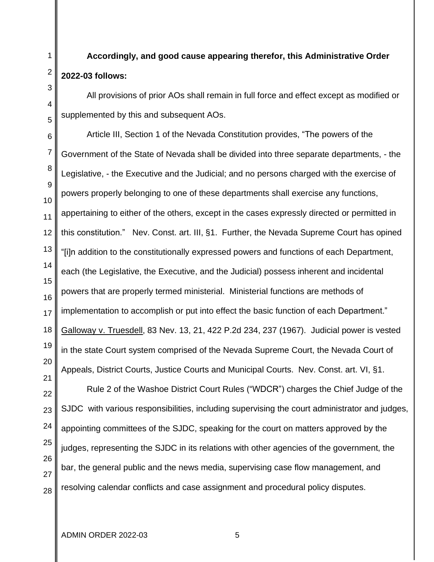## **Accordingly, and good cause appearing therefor, this Administrative Order 2022-03 follows:**

All provisions of prior AOs shall remain in full force and effect except as modified or supplemented by this and subsequent AOs.

Article III, Section 1 of the Nevada Constitution provides, "The powers of the Government of the State of Nevada shall be divided into three separate departments, - the Legislative, - the Executive and the Judicial; and no persons charged with the exercise of powers properly belonging to one of these departments shall exercise any functions, appertaining to either of the others, except in the cases expressly directed or permitted in this constitution." Nev. Const. art. III, §1. Further, the Nevada Supreme Court has opined "[i]n addition to the constitutionally expressed powers and functions of each Department, each (the Legislative, the Executive, and the Judicial) possess inherent and incidental powers that are properly termed ministerial. Ministerial functions are methods of implementation to accomplish or put into effect the basic function of each Department." Galloway v. Truesdell, 83 Nev. 13, 21, 422 P.2d 234, 237 (1967). Judicial power is vested in the state Court system comprised of the Nevada Supreme Court, the Nevada Court of Appeals, District Courts, Justice Courts and Municipal Courts. Nev. Const. art. VI, §1.

Rule 2 of the Washoe District Court Rules ("WDCR") charges the Chief Judge of the SJDC with various responsibilities, including supervising the court administrator and judges, appointing committees of the SJDC, speaking for the court on matters approved by the judges, representing the SJDC in its relations with other agencies of the government, the bar, the general public and the news media, supervising case flow management, and resolving calendar conflicts and case assignment and procedural policy disputes.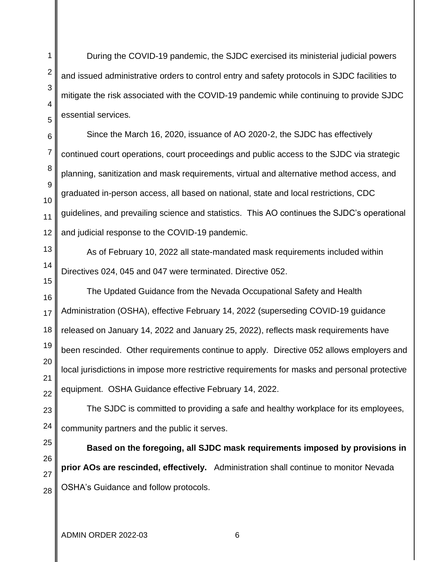During the COVID-19 pandemic, the SJDC exercised its ministerial judicial powers and issued administrative orders to control entry and safety protocols in SJDC facilities to mitigate the risk associated with the COVID-19 pandemic while continuing to provide SJDC essential services.

Since the March 16, 2020, issuance of AO 2020-2, the SJDC has effectively continued court operations, court proceedings and public access to the SJDC via strategic planning, sanitization and mask requirements, virtual and alternative method access, and graduated in-person access, all based on national, state and local restrictions, CDC guidelines, and prevailing science and statistics. This AO continues the SJDC's operational and judicial response to the COVID-19 pandemic.

As of February 10, 2022 all state-mandated mask requirements included within Directives 024, 045 and 047 were terminated. Directive 052.

The Updated Guidance from the Nevada Occupational Safety and Health Administration (OSHA), effective February 14, 2022 (superseding COVID-19 guidance released on January 14, 2022 and January 25, 2022), reflects mask requirements have been rescinded. Other requirements continue to apply. Directive 052 allows employers and local jurisdictions in impose more restrictive requirements for masks and personal protective equipment. OSHA Guidance effective February 14, 2022.

The SJDC is committed to providing a safe and healthy workplace for its employees, community partners and the public it serves.

**Based on the foregoing, all SJDC mask requirements imposed by provisions in prior AOs are rescinded, effectively.** Administration shall continue to monitor Nevada OSHA's Guidance and follow protocols.

ADMIN ORDER 2022-03 6